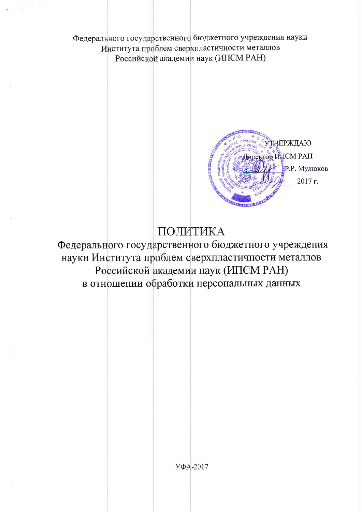Федерального государственного бюджетного учреждения науки Института проблем сверхпластичности металлов Российской академии наук (ИПСМ РАН)



# ПОЛИТИКА

Федерального государственного бюджетного учреждения науки Института проблем сверхпластичности металлов Российской академии наук (ИПСМ РАН) в отношении обработки персональных данных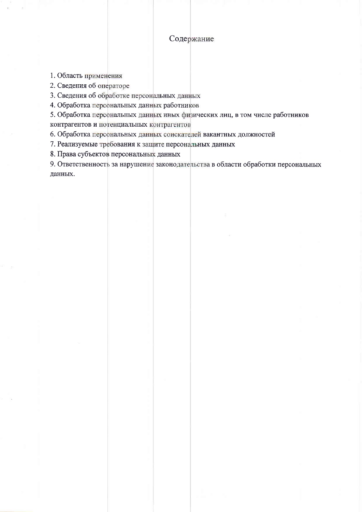## Содержание

1. Область применения

2. Сведения об операторе

3. Сведения об обработке персональных данных

4. Обработка персональных данных работников

5. Обработка персональных данных иных физических лиц, в том числе работников контрагентов и потенциальных контрагентов

6. Обработка персональных данных соискателей вакантных должностей

7. Реализуемые требования к защите персональных данных

8. Права субъектов персональных данных

9. Ответственность за нарушение законодательства в области обработки персональных данных.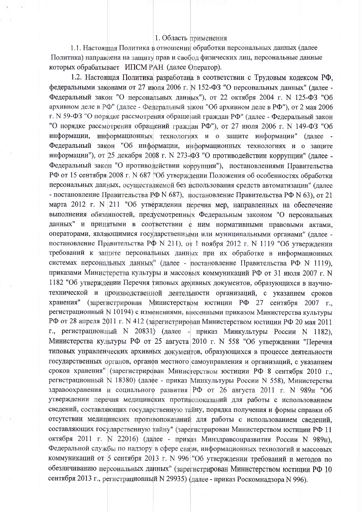### 1. Область применения

1.1. Настоящая Политика в отношении обработки персональных данных (далее Политика) направлена на защиту прав и свобод физических лиц, персональные данные которых обрабатывает ИПСМ РАН (далее Оператор).

1.2. Настоящая Политика разработана в соответствии с Трудовым кодексом РФ. федеральными законами от 27 июля 2006 г. N 152-ФЗ "О персональных данных" (далее -Федеральный закон "О персональных данных"), от 22 октября 2004 г. N 125-ФЗ "Об архивном деле в РФ" (далее - Федеральный закон "Об архивном деле в РФ"), от 2 мая 2006 г. N 59-ФЗ "О порядке рассмотрения обращений граждан РФ" (далее - Федеральный закон "О порядке рассмотрения обращений граждан РФ"), от 27 июля 2006 г. N 149-ФЗ "Об информации, информационных технологиях и о защите информации" (далее -Федеральный закон "Об информации, информационных технологиях и о защите информации"), от 25 декабря 2008 г. N 273-ФЗ "О противодействии коррупции" (далее -Федеральный закон "О противодействии коррупции"), постановлениями Правительства РФ от 15 сентября 2008 г. N 687 "Об утверждении Положения об особенностях обработки персональных данных, осуществляемой без использования средств автоматизации" (лалее - постановление Правительства РФ N 687), постановление Правительства РФ N 63), от 21 марта 2012 г. N 211 "Об утверждении перечня мер, направленных на обеспечение выполнения обязанностей, предусмотренных Федеральным законом "О персональных данных" и принятыми в соответствии с ним нормативными правовыми актами. операторами, являющимися государственными или муниципальными органами" (далее постановление Правительства РФ N 211), от 1 ноября 2012 г. N 1119 "Об утверждении требований к защите персональных данных при их обработке в информационных системах персональных данных" (далее - постановление Правительства РФ N 1119). приказами Министерства культуры и массовых коммуникаций РФ от 31 июля 2007 г. N 1182 "Об утверждении Перечня типовых архивных документов, образующихся в научнотехнической и производственной деятельности организаций, с указанием сроков хранения" (зарегистрирован Министерством юстиции РФ 27 сентября 2007 г., регистрационный N 10194) с изменениями, внесенными приказом Министерства культуры РФ от 28 апреля 2011 г. N 412 (зарегистрирован Министерством юстиции РФ 20 мая 2011 г., регистрационный N 20831) (далее - приказ Минкультуры России N 1182), Министерства культуры РФ от 25 августа 2010 г. N 558 "Об утверждении "Перечня типовых управленческих архивных документов, образующихся в процессе леятельности государственных органов, органов местного самоуправления и организаций, с указанием сроков хранения" (зарегистрирован Министерством юстиции РФ 8 сентября 2010 г. регистрационный N 18380) (далее - приказ Минкультуры России N 558), Министерства здравоохранения и социального развития РФ от 26 августа 2011 г. N 989н "Об утверждении перечня медицинских противопоказаний для работы с использованием сведений, составляющих государственную тайну, порядка получения и формы справки об отсутствии медицинских противопоказаний для работы с использованием сведений, составляющих государственную тайну" (зарегистрирован Министерством юстиции РФ 11 октября 2011 г. N 22016) (далее - приказ Минздравсоцразвития России N 989н), Федеральной службы по надзору в сфере связи, информационных технологий и массовых коммуникаций от 5 сентября 2013 г. N 996 "Об утверждении требований и методов по обезличиванию персональных данных" (зарегистрирован Министерством юстиции РФ 10 сентября 2013 г., регистрационный N 29935) (далее - приказ Роскомнадзора N 996).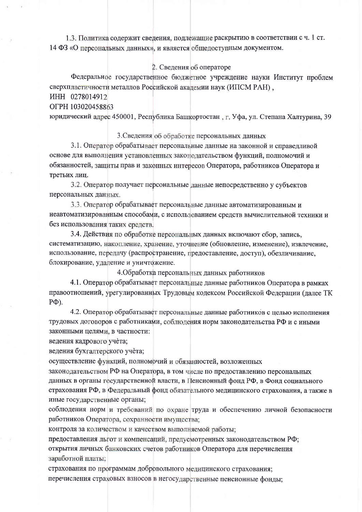1.3. Политика содержит сведения, подлежащие раскрытию в соответствии с ч. 1 ст. 14 ФЗ «О персональных данных», и является общедоступным документом.

#### 2. Сведения об операторе

Федеральное государственное бюджетное учреждение науки Институт проблем сверхпластичности металлов Российской академии наук (ИПСМ РАН),

MHH 0278014912

OFPH 103020458863

юридический адрес 450001, Республика Башкортостан, г. Уфа, ул. Степана Халтурина, 39

3. Сведения об обработке персональных данных

3.1. Оператор обрабатывает персональные данные на законной и справедливой основе для выполнения установленных законодательством функций, полномочий и обязанностей, защиты прав и законных интересов Оператора, работников Оператора и третьих лиц.

3.2. Оператор получает персональные данные непосредственно у субъектов персональных данных.

3.3. Оператор обрабатывает персональные данные автоматизированным и неавтоматизированным способами, с использованием средств вычислительной техники и без использования таких средств.

3.4. Действия по обработке персональных данных включают сбор, запись, систематизацию, накопление, хранение, уточнение (обновление, изменение), извлечение. использование, передачу (распространение, предоставление, доступ), обезличивание, блокирование, удаление и уничтожение.

4. Обработка персональных данных работников

4.1. Оператор обрабатывает персональные данные работников Оператора в рамках правоотношений, урегулированных Трудовым кодексом Российской Федерации (далее ТК  $P\Phi$ ).

4.2. Оператор обрабатывает персональные данные работников с целью исполнения трудовых договоров с работниками, соблюдения норм законодательства РФ и с иными законными целями, в частности:

ведения кадрового учета;

ведения бухгалтерского учета;

осуществление функций, полномочий и обязанностей, возложенных

законодательством РФ на Оператора, в том числе по предоставлению персональных данных в органы государственной власти, в Пенсионный фонд РФ, в Фонд социального страхования РФ, в Федеральный фонд обязательного медицинского страхования, а также в иные государственные органы;

соблюдения норм и требований по охране труда и обеспечению личной безопасности работников Оператора, сохранности имущества;

контроля за количеством и качеством выполняемой работы;

предоставления льгот и компенсаций, предусмотренных законодательством РФ; открытия личных банковских счетов работников Оператора для перечисления заработной платы;

страхования по программам добровольного медицинского страхования; перечисления страховых взносов в негосударственные пенсионные фонды;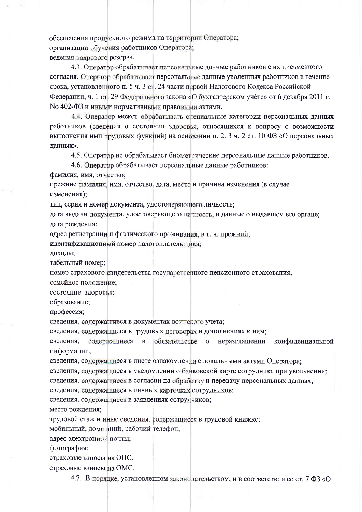обеспечения пропускного режима на территории Оператора; организации обучения работников Оператора; ведения кадрового резерва.

4.3. Оператор обрабатывает персональные данные работников с их письменного согласия. Оператор обрабатывает персональные данные уволенных работников в течение срока, установленного п. 5 ч. 3 ст. 24 части первой Налогового Кодекса Российской Федерации, ч. 1 ст. 29 Федерального закона «О бухгалтерском учете» от 6 декабря 2011 г. No 402-ФЗ и иными нормативными правовыми актами.

4.4. Оператор может обрабатывать специальные категории персональных данных работников (сведения о состоянии здоровья, относящихся к вопросу о возможности выполнения ими трудовых функций) на основании п. 2. 3 ч. 2 ст. 10 ФЗ «О персональных данных».

4.5. Оператор не обрабатывает биометрические персональные данные работников.

4.6. Оператор обрабатывает персональные данные работников:

фамилия, имя, отчество;

прежние фамилия, имя, отчество, дата, место и причина изменения (в случае изменения);

тип, серия и номер документа, удостоверяющего личность;

дата выдачи документа, удостоверяющего личность, и данные о выдавшем его органе; дата рождения:

адрес регистрации и фактического проживания, в т. ч. прежний;

идентификационный номер налогоплательшика:

доходы;

табельный номер;

номер страхового свидетельства государственного пенсионного страхования; семейное положение:

состояние здоровья;

образование;

профессия;

сведения, содержащиеся в документах воинского учета;

сведения, содержащиеся в трудовых договорах и дополнениях к ним;

сведения. содержащиеся  $\mathbf{B}$ обязательстве  $\overline{0}$ неразглашении конфиденциальной информации:

сведения, содержащиеся в листе ознакомления с локальными актами Оператора;

сведения, содержащиеся в уведомлении о банковской карте сотрудника при увольнении; сведения, содержащиеся в согласии на обработку и передачу персональных данных;

сведения, содержащиеся в личных карточках сотрудников:

сведения, содержащиеся в заявлениях сотрудников;

место рождения;

трудовой стаж и иные сведения, содержащиеся в трудовой книжке;

мобильный, домашний, рабочий гелефон;

адрес электронной почты;

фотография;

страховые взносы на ОПС;

страховые взносы на ОМС.

4.7. В порядке, установленном законодательством, и в соответствии со ст. 7 ФЗ «О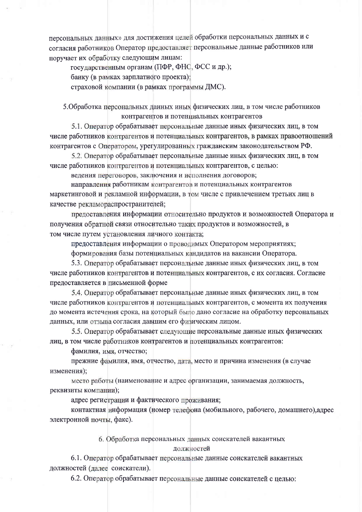персональных данных» для достижения целей обработки персональных данных и с согласия работников Оператор предоставляет персональные данные работников или поручает их обработку следующим лицам:

государственным органам (ПФР, ФНС, ФСС и др.);

банку (в рамках зарплатного проекта):

страховой компании (в рамках программы ДМС).

5. Обработка персональных данных иных физических лиц, в том числе работников контрагентов и потенциальных контрагентов

5.1. Оператор обрабатывает персональные данные иных физических лиц, в том числе работников контрагентов и потенциальных контрагентов, в рамках правоотношений контрагентов с Оператором, урегулированных гражданским законодательством РФ.

5.2. Оператор обрабатывает персональные данные иных физических лиц, в том числе работников контрагентов и потенциальных контрагентов, с целью:

ведения переговоров, заключения и исполнения договоров;

направления работникам контрагентов и потенциальных контрагентов маркетинговой и рекламной информации, в том числе с привлечением третьих лиц в качестве рекламораспространителей;

предоставления информации относительно продуктов и возможностей Оператора и получения обратной связи относительно таких продуктов и возможностей, в том числе путем установления личного контакта;

предоставления информации о проводимых Оператором мероприятиях:

формирования базы потенциальных кандидатов на вакансии Оператора.

5.3. Оператор обрабатывает персональные данные иных физических лиц, в том числе работников контрагентов и потенциальных контрагентов, с их согласия. Согласие предоставляется в письменной форме

5.4. Оператор обрабатывает персональные данные иных физических лиц, в том числе работников контрагентов и потенциальных контрагентов, с момента их получения до момента истечения срока, на который было дано согласие на обработку персональных данных, или отзыва согласия давшим его физическим лицом.

5.5. Оператор обрабатывает следующие персональные данные иных физических лиц, в том числе работников контрагентов и потенциальных контрагентов:

фамилия, имя, отчество;

прежние фамилия, имя, отчество, дата, место и причина изменения (в случае изменения):

место работы (наименование и адрес организации, занимаемая должность, реквизиты компании);

адрес регистрации и фактического проживания;

контактная информация (номер телефона (мобильного, рабочего, домашнего), адрес электронной почты, факс).

#### 6. Обработка персональных данных соискателей вакантных должностей

6.1. Оператор обрабатывает персональные данные соискателей вакантных должностей (далее соискатели).

6.2. Оператор обрабатывает персональные данные соискателей с целью: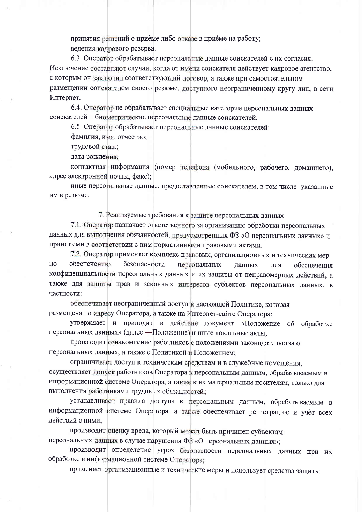принятия решений о приеме либо отказе в приеме на работу; ведения кадрового резерва.

6.3. Оператор обрабатывает персональные данные соискателей с их согласия. Исключение составляют случаи, когда от имени соискателя действует кадровое агентство, с которым он заключил соответствующий договор, а также при самостоятельном размещении соискателем своего резюме, доступного неограниченному кругу лиц. в сети Интернет.

6.4. Оператор не обрабатывает специальные категории персональных данных соискателей и биометрические персональные данные соискателей.

6.5. Оператор обрабатывает персональные данные соискателей:

фамилия, имя, отчество;

трудовой стаж;

дата рождения;

контактная информация (номер телефона (мобильного, рабочего, домашнего), адрес электронной почты, факс);

иные персональные данные, предоставленные соискателем, в том числе указанные им в резюме.

7. Реализуемые требования к защите персональных данных

7.1. Оператор назначает ответственного за организацию обработки персональных данных для выполнения обязанностей, предусмотренных ФЗ «О персональных данных» и принятыми в соответствии с ним нормативными правовыми актами.

7.2. Оператор применяет комплекс правовых, организационных и технических мер обеспечению  $\Pi$ <sup>O</sup> безопасности персональных для данных обеспечения конфиденциальности персональных данных и их защиты от неправомерных действий, а также для защиты прав и законных интересов субъектов персональных данных, в частности:

обеспечивает неограниченный доступ к настоящей Политике, которая размещена по адресу Оператора, а также на Интернет-сайте Оператора:

утверждает и приводит в действие документ «Положение об обработке персональных данных» (далее - Положение) и иные локальные акты;

производит ознакомление работников с положениями законодательства о персональных данных, а также с Политикой и Положением;

ограничивает доступ к техническим средствам и в служебные помещения, осуществляет допуск работников Оператора к персональным данным, обрабатываемым в информационной системе Оператора, а также к их материальным носителям, только для выполнения работниками трудовых обязанностей;

устанавливает правила доступа к персональным данным, обрабатываемым в информационной системе Оператора, а также обеспечивает регистрацию и учет всех действий с ними;

производит оценку вреда, который может быть причинен субъектам персональных данных в случае нарушения ФЗ «О персональных данных»;

производит определение угроз безопасности персональных данных при их обработке в информационной системе Оператора:

применяет организационные и технические меры и использует средства защиты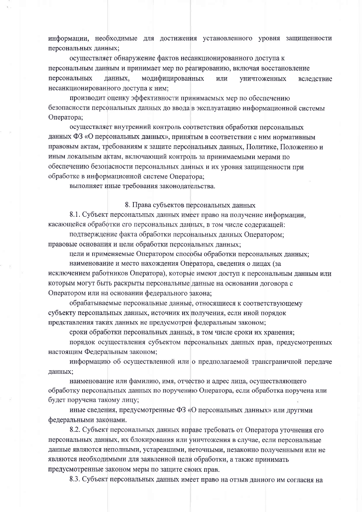информации, необходимые для достижения установленного уровня защищенности персональных данных;

осуществляет обнаружение фактов несанкционированного доступа к персональным данным и принимает мер по реагированию, включая восстановление персональных данных. модифицированных или уничтоженных вследствие несанкционированного доступа к ним;

производит оценку эффективности принимаемых мер по обеспечению безопасности персональных данных до ввода в эксплуатацию информационной системы Оператора;

осуществляет внутренний контроль соответствия обработки персональных данных ФЗ «О персональных данных», принятым в соответствии с ним нормативным правовым актам, требованиям к защите персональных данных, Политике, Положению и иным локальным актам, включающий контроль за принимаемыми мерами по обеспечению безопасности персональных данных и их уровня защищенности при обработке в информационной системе Оператора;

выполняет иные требования законодательства.

#### 8. Права субъектов персональных данных

8.1. Субъект персональных данных имеет право на получение информации. касающейся обработки его персональных данных, в том числе содержащей:

подтверждение факта обработки персональных данных Оператором; правовые основания и цели обработки персональных данных;

цели и применяемые Оператором способы обработки персональных данных;

наименование и место нахождения Оператора, сведения о лицах (за исключением работников Оператора), которые имеют доступ к персональным данным или которым могут быть раскрыты персональные данные на основании договора с

Оператором или на основании федерального закона;

обрабатываемые персональные данные, относящиеся к соответствующему субъекту персональных данных, источник их получения, если иной порядок представления таких данных не предусмотрен федеральным законом;

сроки обработки персональных данных, в том числе сроки их хранения;

порядок осуществления субъектом персональных данных прав, предусмотренных настоящим Федеральным законом;

информацию об осуществленной или о предполагаемой трансграничной передаче данных;

наименование или фамилию, имя, отчество и адрес лица, осуществляющего обработку персональных данных по поручению Оператора, если обработка поручена или будет поручена такому лицу;

иные сведения, предусмотренные ФЗ «О персональных данных» или другими федеральными законами.

8.2. Субъект персональных данных вправе требовать от Оператора уточнения его персональных данных, их блокирования или уничтожения в случае, если персональные данные являются неполными, устаревшими, неточными, незаконно полученными или не являются необходимыми для заявленной цели обработки, а также принимать предусмотренные законом меры по защите своих прав.

8.3. Субъект персональных данных имеет право на отзыв данного им согласия на